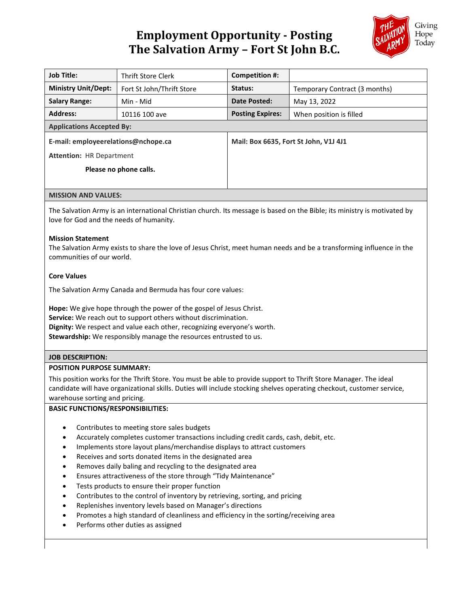# **Employment Opportunity - Posting The Salvation Army – Fort St John B.C.**



| <b>Job Title:</b>                   | <b>Thrift Store Clerk</b> | Competition #:                        |                               |
|-------------------------------------|---------------------------|---------------------------------------|-------------------------------|
| <b>Ministry Unit/Dept:</b>          | Fort St John/Thrift Store | Status:                               | Temporary Contract (3 months) |
| <b>Salary Range:</b>                | Min - Mid                 | Date Posted:                          | May 13, 2022                  |
| <b>Address:</b>                     | 10116 100 ave             | <b>Posting Expires:</b>               | When position is filled       |
| <b>Applications Accepted By:</b>    |                           |                                       |                               |
| E-mail: employeerelations@nchope.ca |                           | Mail: Box 6635, Fort St John, V1J 4J1 |                               |
| <b>Attention: HR Department</b>     |                           |                                       |                               |
| Please no phone calls.              |                           |                                       |                               |
|                                     |                           |                                       |                               |
|                                     |                           |                                       |                               |

### **MISSION AND VALUES:**

The Salvation Army is an international Christian church. Its message is based on the Bible; its ministry is motivated by love for God and the needs of humanity.

# **Mission Statement**

The Salvation Army exists to share the love of Jesus Christ, meet human needs and be a transforming influence in the communities of our world.

# **Core Values**

The Salvation Army Canada and Bermuda has four core values:

**Hope:** We give hope through the power of the gospel of Jesus Christ. **Service:** We reach out to support others without discrimination. **Dignity:** We respect and value each other, recognizing everyone's worth. **Stewardship:** We responsibly manage the resources entrusted to us.

### **JOB DESCRIPTION:**

### **POSITION PURPOSE SUMMARY:**

This position works for the Thrift Store. You must be able to provide support to Thrift Store Manager. The ideal candidate will have organizational skills. Duties will include stocking shelves operating checkout, customer service, warehouse sorting and pricing.

### **BASIC FUNCTIONS/RESPONSIBILITIES:**

- Contributes to meeting store sales budgets
- Accurately completes customer transactions including credit cards, cash, debit, etc.
- Implements store layout plans/merchandise displays to attract customers
- Receives and sorts donated items in the designated area
- Removes daily baling and recycling to the designated area
- Ensures attractiveness of the store through "Tidy Maintenance"
- Tests products to ensure their proper function
- Contributes to the control of inventory by retrieving, sorting, and pricing
- Replenishes inventory levels based on Manager's directions
- Promotes a high standard of cleanliness and efficiency in the sorting/receiving area
- Performs other duties as assigned